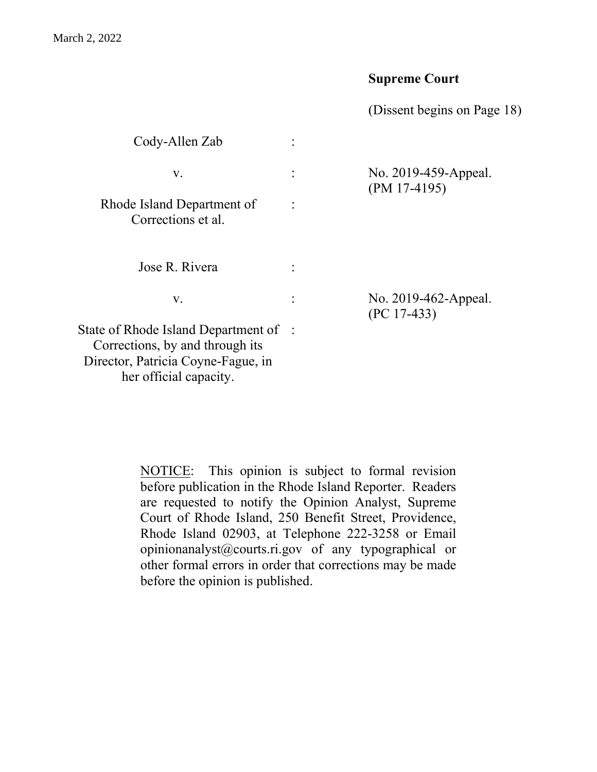# **Supreme Court**

(Dissent begins on Page 18)

| Cody-Allen Zab                                                                                                                           |                                        |
|------------------------------------------------------------------------------------------------------------------------------------------|----------------------------------------|
| V.                                                                                                                                       | No. 2019-459-Appeal.<br>$(PM 17-4195)$ |
| Rhode Island Department of<br>Corrections et al.                                                                                         |                                        |
| Jose R. Rivera                                                                                                                           |                                        |
| V.                                                                                                                                       | No. 2019-462-Appeal.<br>$(PC 17-433)$  |
| State of Rhode Island Department of :<br>Corrections, by and through its<br>Director, Patricia Coyne-Fague, in<br>her official capacity. |                                        |

NOTICE: This opinion is subject to formal revision before publication in the Rhode Island Reporter. Readers are requested to notify the Opinion Analyst, Supreme Court of Rhode Island, 250 Benefit Street, Providence, Rhode Island 02903, at Telephone 222-3258 or Email opinionanalyst@courts.ri.gov of any typographical or other formal errors in order that corrections may be made before the opinion is published.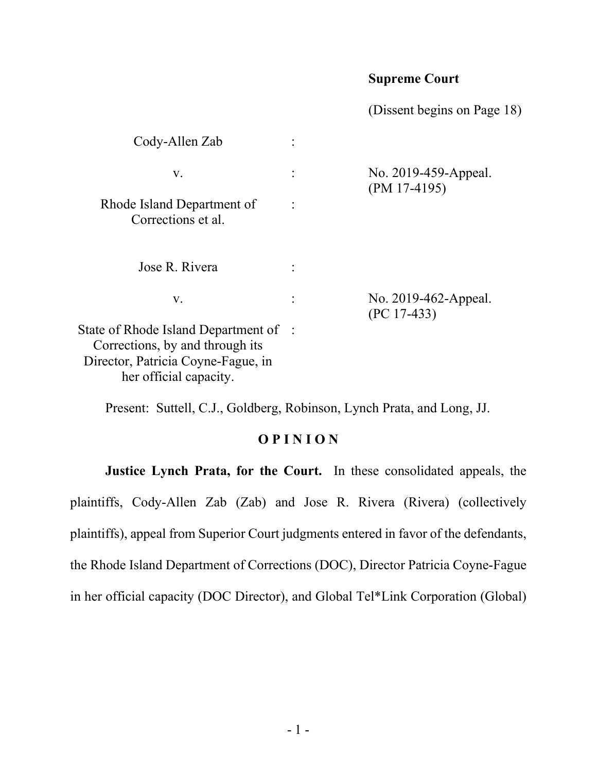# **Supreme Court**

(Dissent begins on Page 18)

| Cody-Allen Zab                                                                                                                         |                                        |
|----------------------------------------------------------------------------------------------------------------------------------------|----------------------------------------|
| V.                                                                                                                                     | No. 2019-459-Appeal.<br>$(PM 17-4195)$ |
| Rhode Island Department of<br>Corrections et al.                                                                                       |                                        |
| Jose R. Rivera                                                                                                                         |                                        |
| V.                                                                                                                                     | No. 2019-462-Appeal.<br>$(PC 17-433)$  |
| State of Rhode Island Department of<br>Corrections, by and through its<br>Director, Patricia Coyne-Fague, in<br>her official capacity. |                                        |

Present: Suttell, C.J., Goldberg, Robinson, Lynch Prata, and Long, JJ.

# **O P I N I O N**

**Justice Lynch Prata, for the Court.** In these consolidated appeals, the plaintiffs, Cody-Allen Zab (Zab) and Jose R. Rivera (Rivera) (collectively plaintiffs), appeal from Superior Court judgments entered in favor of the defendants, the Rhode Island Department of Corrections (DOC), Director Patricia Coyne-Fague in her official capacity (DOC Director), and Global Tel\*Link Corporation (Global)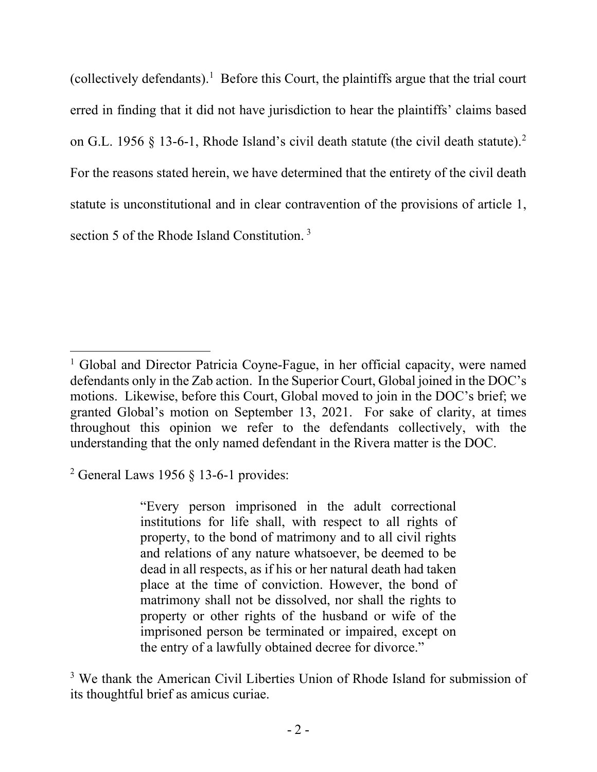(collectively defendants).<sup>[1](#page-2-0)</sup> Before this Court, the plaintiffs argue that the trial court erred in finding that it did not have jurisdiction to hear the plaintiffs' claims based on G.L. 1956 § 13-6-1, Rhode Island's civil death statute (the civil death statute).<sup>[2](#page-2-1)</sup> For the reasons stated herein, we have determined that the entirety of the civil death statute is unconstitutional and in clear contravention of the provisions of article 1, section 5 of the Rhode Island Constitution. [3](#page-2-2)

<span id="page-2-1"></span> $2$  General Laws 1956 § 13-6-1 provides:

"Every person imprisoned in the adult correctional institutions for life shall, with respect to all rights of property, to the bond of matrimony and to all civil rights and relations of any nature whatsoever, be deemed to be dead in all respects, as if his or her natural death had taken place at the time of conviction. However, the bond of matrimony shall not be dissolved, nor shall the rights to property or other rights of the husband or wife of the imprisoned person be terminated or impaired, except on the entry of a lawfully obtained decree for divorce."

<span id="page-2-2"></span><sup>3</sup> We thank the American Civil Liberties Union of Rhode Island for submission of its thoughtful brief as amicus curiae.

<span id="page-2-0"></span><sup>&</sup>lt;sup>1</sup> Global and Director Patricia Coyne-Fague, in her official capacity, were named defendants only in the Zab action. In the Superior Court, Global joined in the DOC's motions. Likewise, before this Court, Global moved to join in the DOC's brief; we granted Global's motion on September 13, 2021. For sake of clarity, at times throughout this opinion we refer to the defendants collectively, with the understanding that the only named defendant in the Rivera matter is the DOC.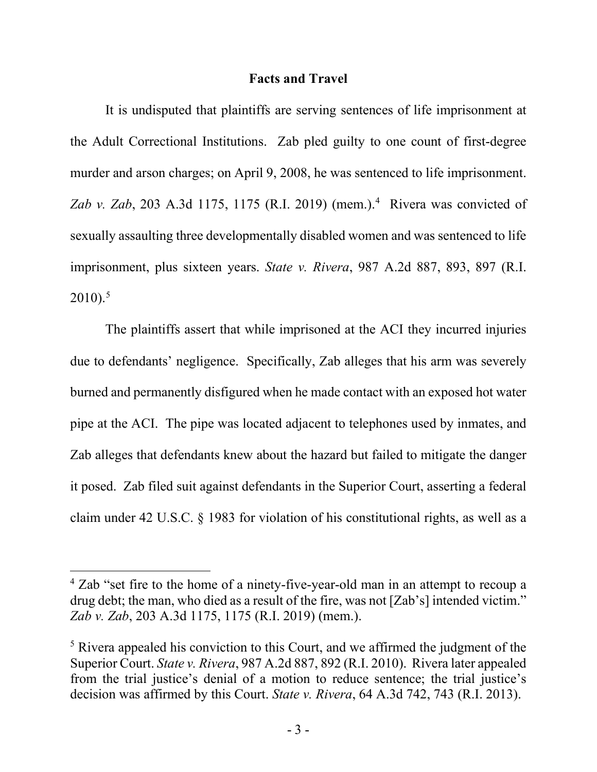### **Facts and Travel**

It is undisputed that plaintiffs are serving sentences of life imprisonment at the Adult Correctional Institutions. Zab pled guilty to one count of first-degree murder and arson charges; on April 9, 2008, he was sentenced to life imprisonment. *Zab v. Zab*, 203 A.3d 1175, 1175 (R.I. 2019) (mem.). [4](#page-3-0) Rivera was convicted of sexually assaulting three developmentally disabled women and was sentenced to life imprisonment, plus sixteen years. *State v. Rivera*, 987 A.2d 887, 893, 897 (R.I.  $2010$ ).<sup>[5](#page-3-1)</sup>

The plaintiffs assert that while imprisoned at the ACI they incurred injuries due to defendants' negligence. Specifically, Zab alleges that his arm was severely burned and permanently disfigured when he made contact with an exposed hot water pipe at the ACI. The pipe was located adjacent to telephones used by inmates, and Zab alleges that defendants knew about the hazard but failed to mitigate the danger it posed. Zab filed suit against defendants in the Superior Court, asserting a federal claim under 42 U.S.C. § 1983 for violation of his constitutional rights, as well as a

<span id="page-3-0"></span><sup>&</sup>lt;sup>4</sup> Zab "set fire to the home of a ninety-five-year-old man in an attempt to recoup a drug debt; the man, who died as a result of the fire, was not [Zab's] intended victim." *Zab v. Zab*, 203 A.3d 1175, 1175 (R.I. 2019) (mem.).

<span id="page-3-1"></span><sup>&</sup>lt;sup>5</sup> Rivera appealed his conviction to this Court, and we affirmed the judgment of the Superior Court. *State v. Rivera*, 987 A.2d 887, 892 (R.I. 2010). Rivera later appealed from the trial justice's denial of a motion to reduce sentence; the trial justice's decision was affirmed by this Court. *State v. Rivera*, 64 A.3d 742, 743 (R.I. 2013).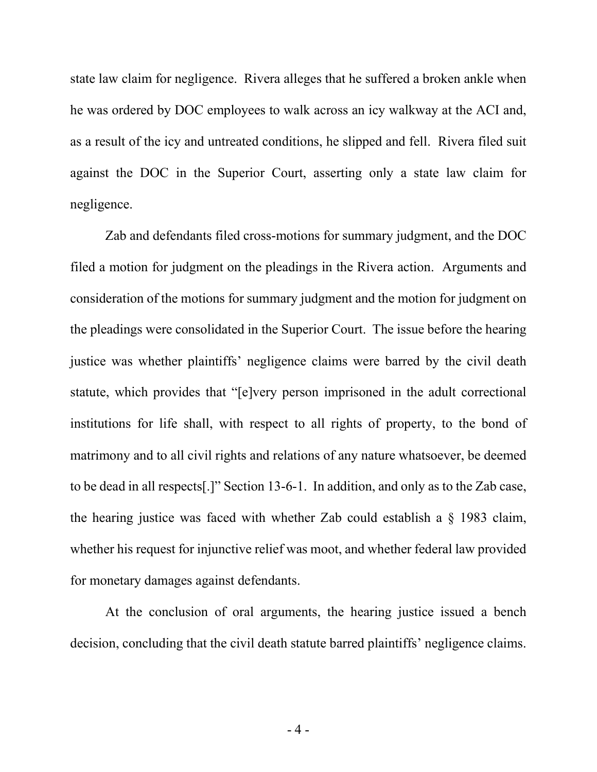state law claim for negligence. Rivera alleges that he suffered a broken ankle when he was ordered by DOC employees to walk across an icy walkway at the ACI and, as a result of the icy and untreated conditions, he slipped and fell. Rivera filed suit against the DOC in the Superior Court, asserting only a state law claim for negligence.

Zab and defendants filed cross-motions for summary judgment, and the DOC filed a motion for judgment on the pleadings in the Rivera action. Arguments and consideration of the motions for summary judgment and the motion for judgment on the pleadings were consolidated in the Superior Court. The issue before the hearing justice was whether plaintiffs' negligence claims were barred by the civil death statute, which provides that "[e]very person imprisoned in the adult correctional institutions for life shall, with respect to all rights of property, to the bond of matrimony and to all civil rights and relations of any nature whatsoever, be deemed to be dead in all respects[.]" Section 13-6-1. In addition, and only as to the Zab case, the hearing justice was faced with whether Zab could establish a § 1983 claim, whether his request for injunctive relief was moot, and whether federal law provided for monetary damages against defendants.

At the conclusion of oral arguments, the hearing justice issued a bench decision, concluding that the civil death statute barred plaintiffs' negligence claims.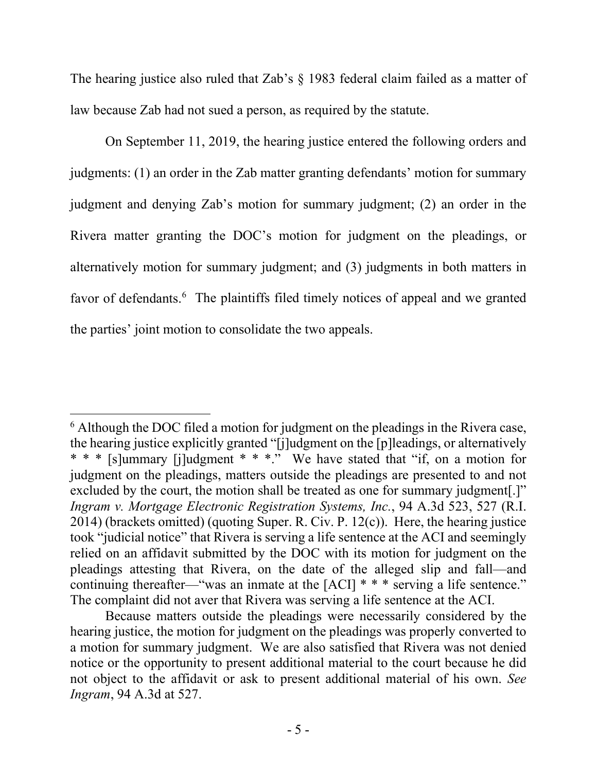The hearing justice also ruled that Zab's § 1983 federal claim failed as a matter of law because Zab had not sued a person, as required by the statute.

On September 11, 2019, the hearing justice entered the following orders and judgments: (1) an order in the Zab matter granting defendants' motion for summary judgment and denying Zab's motion for summary judgment; (2) an order in the Rivera matter granting the DOC's motion for judgment on the pleadings, or alternatively motion for summary judgment; and (3) judgments in both matters in favor of defendants.<sup>[6](#page-5-0)</sup> The plaintiffs filed timely notices of appeal and we granted the parties' joint motion to consolidate the two appeals.

<span id="page-5-0"></span><sup>&</sup>lt;sup>6</sup> Although the DOC filed a motion for judgment on the pleadings in the Rivera case, the hearing justice explicitly granted "[j]udgment on the [p]leadings, or alternatively \* \* \* [s]ummary [j]udgment \* \* \*." We have stated that "if, on a motion for judgment on the pleadings, matters outside the pleadings are presented to and not excluded by the court, the motion shall be treated as one for summary judgment.]" *Ingram v. Mortgage Electronic Registration Systems, Inc.*, 94 A.3d 523, 527 (R.I.  $2014$ ) (brackets omitted) (quoting Super. R. Civ. P. 12(c)). Here, the hearing justice took "judicial notice" that Rivera is serving a life sentence at the ACI and seemingly relied on an affidavit submitted by the DOC with its motion for judgment on the pleadings attesting that Rivera, on the date of the alleged slip and fall—and continuing thereafter—"was an inmate at the [ACI] \* \* \* serving a life sentence." The complaint did not aver that Rivera was serving a life sentence at the ACI.

Because matters outside the pleadings were necessarily considered by the hearing justice, the motion for judgment on the pleadings was properly converted to a motion for summary judgment. We are also satisfied that Rivera was not denied notice or the opportunity to present additional material to the court because he did not object to the affidavit or ask to present additional material of his own. *See Ingram*, 94 A.3d at 527.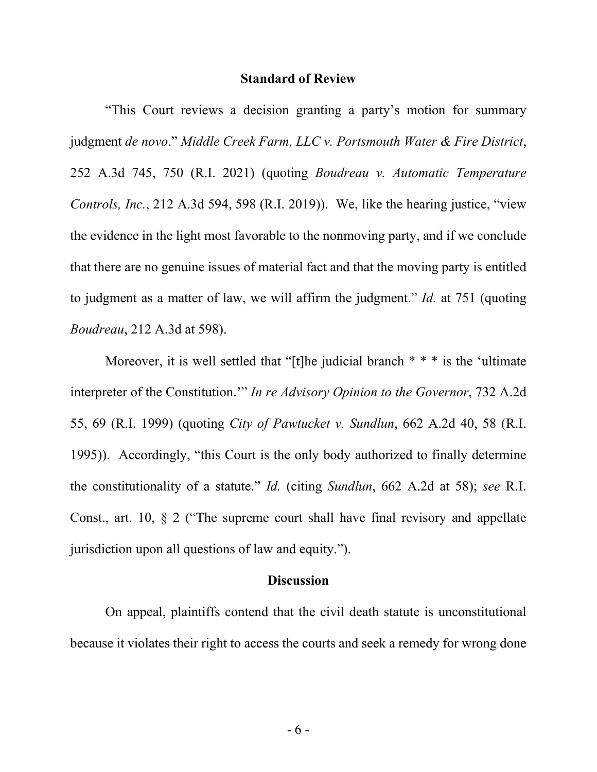#### **Standard of Review**

"This Court reviews a decision granting a party's motion for summary judgment *de novo*." *Middle Creek Farm, LLC v. Portsmouth Water & Fire District*, 252 A.3d 745, 750 (R.I. 2021) (quoting *Boudreau v. Automatic Temperature Controls, Inc.*, 212 A.3d 594, 598 (R.I. 2019)). We, like the hearing justice, "view the evidence in the light most favorable to the nonmoving party, and if we conclude that there are no genuine issues of material fact and that the moving party is entitled to judgment as a matter of law, we will affirm the judgment." *Id.* at 751 (quoting *Boudreau*, 212 A.3d at 598).

Moreover, it is well settled that "[t]he judicial branch  $* * *$  is the 'ultimate interpreter of the Constitution.'" *In re Advisory Opinion to the Governor*, 732 A.2d 55, 69 (R.I. 1999) (quoting *City of Pawtucket v. Sundlun*, 662 A.2d 40, 58 (R.I. 1995)). Accordingly, "this Court is the only body authorized to finally determine the constitutionality of a statute." *Id.* (citing *Sundlun*, 662 A.2d at 58); *see* R.I. Const., art. 10, § 2 ("The supreme court shall have final revisory and appellate jurisdiction upon all questions of law and equity.").

### **Discussion**

On appeal, plaintiffs contend that the civil death statute is unconstitutional because it violates their right to access the courts and seek a remedy for wrong done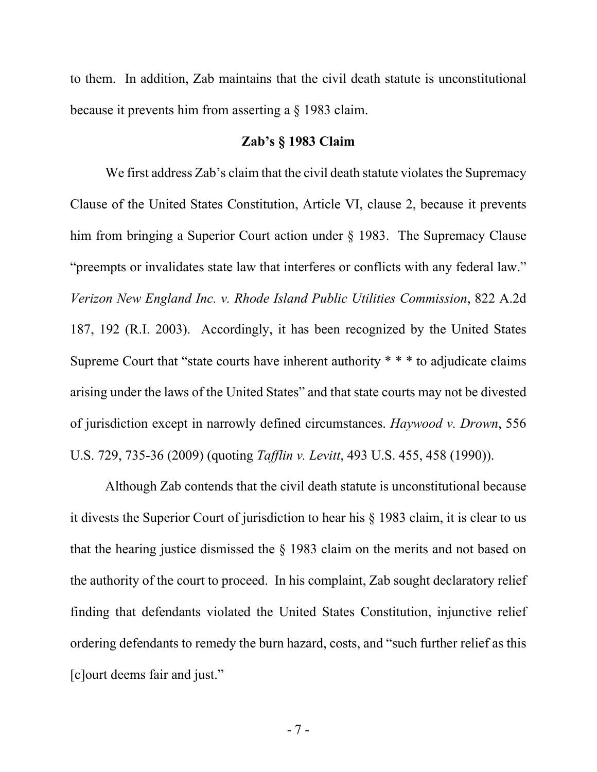to them. In addition, Zab maintains that the civil death statute is unconstitutional because it prevents him from asserting a § 1983 claim.

### **Zab's § 1983 Claim**

We first address Zab's claim that the civil death statute violates the Supremacy Clause of the United States Constitution, Article VI, clause 2, because it prevents him from bringing a Superior Court action under § 1983. The Supremacy Clause "preempts or invalidates state law that interferes or conflicts with any federal law." *Verizon New England Inc. v. Rhode Island Public Utilities Commission*, 822 A.2d 187, 192 (R.I. 2003). Accordingly, it has been recognized by the United States Supreme Court that "state courts have inherent authority \* \* \* to adjudicate claims arising under the laws of the United States" and that state courts may not be divested of jurisdiction except in narrowly defined circumstances. *Haywood v. Drown*, 556 U.S. 729, 735-36 (2009) (quoting *Tafflin v. Levitt*, 493 U.S. 455, 458 (1990)).

Although Zab contends that the civil death statute is unconstitutional because it divests the Superior Court of jurisdiction to hear his § 1983 claim, it is clear to us that the hearing justice dismissed the § 1983 claim on the merits and not based on the authority of the court to proceed. In his complaint, Zab sought declaratory relief finding that defendants violated the United States Constitution, injunctive relief ordering defendants to remedy the burn hazard, costs, and "such further relief as this [c]ourt deems fair and just."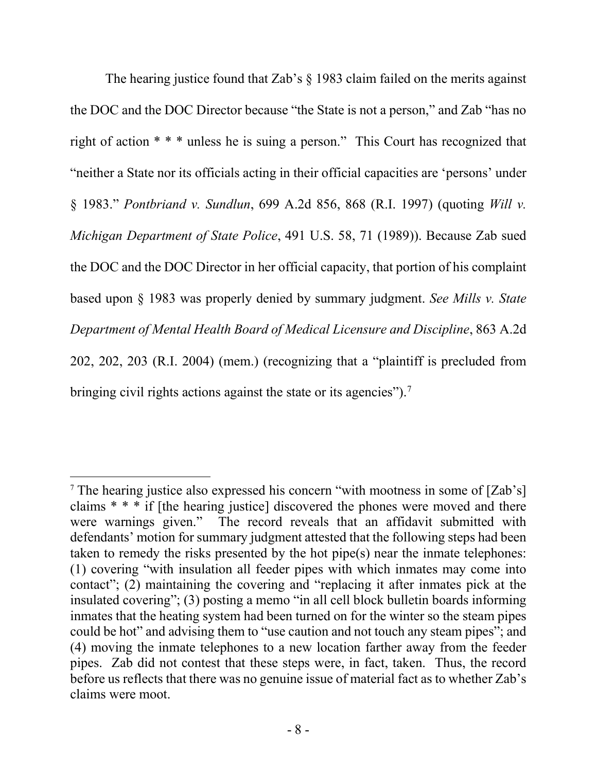The hearing justice found that Zab's § 1983 claim failed on the merits against the DOC and the DOC Director because "the State is not a person," and Zab "has no right of action \* \* \* unless he is suing a person." This Court has recognized that "neither a State nor its officials acting in their official capacities are 'persons' under § 1983." *Pontbriand v. Sundlun*, 699 A.2d 856, 868 (R.I. 1997) (quoting *Will v. Michigan Department of State Police*, 491 U.S. 58, 71 (1989)). Because Zab sued the DOC and the DOC Director in her official capacity, that portion of his complaint based upon § 1983 was properly denied by summary judgment. *See Mills v. State Department of Mental Health Board of Medical Licensure and Discipline*, 863 A.2d 202, 202, 203 (R.I. 2004) (mem.) (recognizing that a "plaintiff is precluded from bringing civil rights actions against the state or its agencies").<sup>[7](#page-8-0)</sup>

<span id="page-8-0"></span><sup>7</sup> The hearing justice also expressed his concern "with mootness in some of [Zab's] claims \* \* \* if [the hearing justice] discovered the phones were moved and there were warnings given." The record reveals that an affidavit submitted with defendants' motion for summary judgment attested that the following steps had been taken to remedy the risks presented by the hot pipe(s) near the inmate telephones: (1) covering "with insulation all feeder pipes with which inmates may come into contact"; (2) maintaining the covering and "replacing it after inmates pick at the insulated covering"; (3) posting a memo "in all cell block bulletin boards informing inmates that the heating system had been turned on for the winter so the steam pipes could be hot" and advising them to "use caution and not touch any steam pipes"; and (4) moving the inmate telephones to a new location farther away from the feeder pipes. Zab did not contest that these steps were, in fact, taken. Thus, the record before us reflects that there was no genuine issue of material fact as to whether Zab's claims were moot.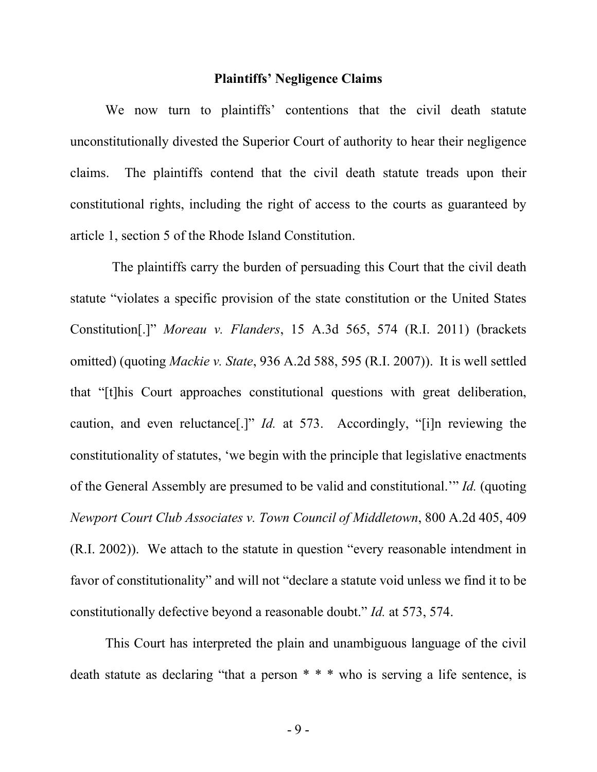#### **Plaintiffs' Negligence Claims**

We now turn to plaintiffs' contentions that the civil death statute unconstitutionally divested the Superior Court of authority to hear their negligence claims. The plaintiffs contend that the civil death statute treads upon their constitutional rights, including the right of access to the courts as guaranteed by article 1, section 5 of the Rhode Island Constitution.

 The plaintiffs carry the burden of persuading this Court that the civil death statute "violates a specific provision of the state constitution or the United States Constitution[.]" *Moreau v. Flanders*, 15 A.3d 565, 574 (R.I. 2011) (brackets omitted) (quoting *Mackie v. State*, 936 A.2d 588, 595 (R.I. 2007)). It is well settled that "[t]his Court approaches constitutional questions with great deliberation, caution, and even reluctance[.]" *Id.* at 573. Accordingly, "[i]n reviewing the constitutionality of statutes, 'we begin with the principle that legislative enactments of the General Assembly are presumed to be valid and constitutional.'" *Id.* (quoting *Newport Court Club Associates v. Town Council of Middletown*, 800 A.2d 405, 409 (R.I. 2002)). We attach to the statute in question "every reasonable intendment in favor of constitutionality" and will not "declare a statute void unless we find it to be constitutionally defective beyond a reasonable doubt." *Id.* at 573, 574.

This Court has interpreted the plain and unambiguous language of the civil death statute as declaring "that a person \* \* \* who is serving a life sentence, is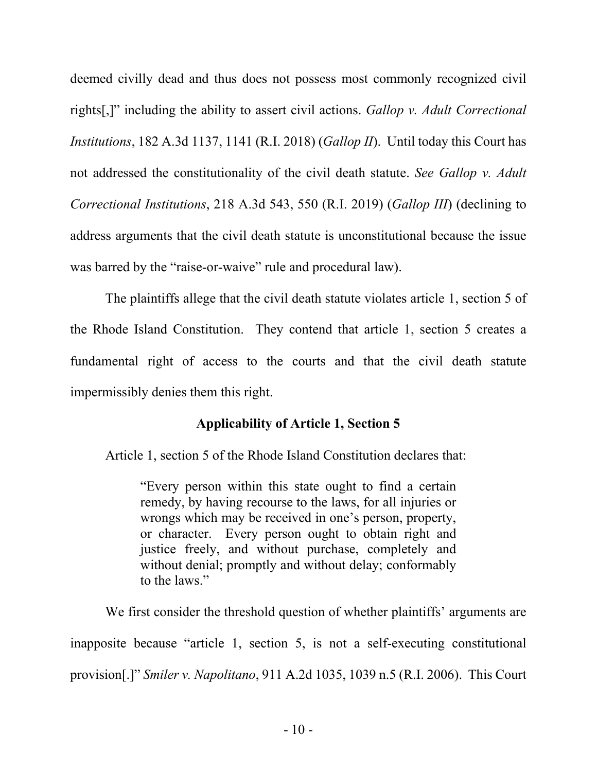deemed civilly dead and thus does not possess most commonly recognized civil rights[,]" including the ability to assert civil actions. *Gallop v. Adult Correctional Institutions*, 182 A.3d 1137, 1141 (R.I. 2018) (*Gallop II*). Until today this Court has not addressed the constitutionality of the civil death statute. *See Gallop v. Adult Correctional Institutions*, 218 A.3d 543, 550 (R.I. 2019) (*Gallop III*) (declining to address arguments that the civil death statute is unconstitutional because the issue was barred by the "raise-or-waive" rule and procedural law).

The plaintiffs allege that the civil death statute violates article 1, section 5 of the Rhode Island Constitution. They contend that article 1, section 5 creates a fundamental right of access to the courts and that the civil death statute impermissibly denies them this right.

### **Applicability of Article 1, Section 5**

Article 1, section 5 of the Rhode Island Constitution declares that:

"Every person within this state ought to find a certain remedy, by having recourse to the laws, for all injuries or wrongs which may be received in one's person, property, or character. Every person ought to obtain right and justice freely, and without purchase, completely and without denial; promptly and without delay; conformably to the laws."

We first consider the threshold question of whether plaintiffs' arguments are inapposite because "article 1, section 5, is not a self-executing constitutional provision[.]" *Smiler v. Napolitano*, 911 A.2d 1035, 1039 n.5 (R.I. 2006). This Court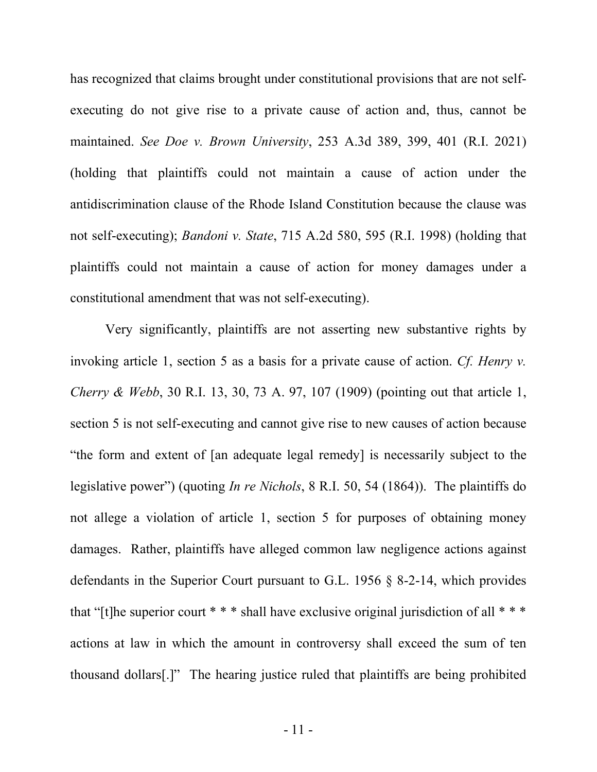has recognized that claims brought under constitutional provisions that are not selfexecuting do not give rise to a private cause of action and, thus, cannot be maintained. *See Doe v. Brown University*, 253 A.3d 389, 399, 401 (R.I. 2021) (holding that plaintiffs could not maintain a cause of action under the antidiscrimination clause of the Rhode Island Constitution because the clause was not self-executing); *Bandoni v. State*, 715 A.2d 580, 595 (R.I. 1998) (holding that plaintiffs could not maintain a cause of action for money damages under a constitutional amendment that was not self-executing).

Very significantly, plaintiffs are not asserting new substantive rights by invoking article 1, section 5 as a basis for a private cause of action. *Cf. Henry v. Cherry & Webb*, 30 R.I. 13, 30, 73 A. 97, 107 (1909) (pointing out that article 1, section 5 is not self-executing and cannot give rise to new causes of action because "the form and extent of [an adequate legal remedy] is necessarily subject to the legislative power") (quoting *In re Nichols*, 8 R.I. 50, 54 (1864)). The plaintiffs do not allege a violation of article 1, section 5 for purposes of obtaining money damages. Rather, plaintiffs have alleged common law negligence actions against defendants in the Superior Court pursuant to G.L. 1956 § 8-2-14, which provides that "[t]he superior court  $* * *$  shall have exclusive original jurisdiction of all  $* * *$ actions at law in which the amount in controversy shall exceed the sum of ten thousand dollars[.]" The hearing justice ruled that plaintiffs are being prohibited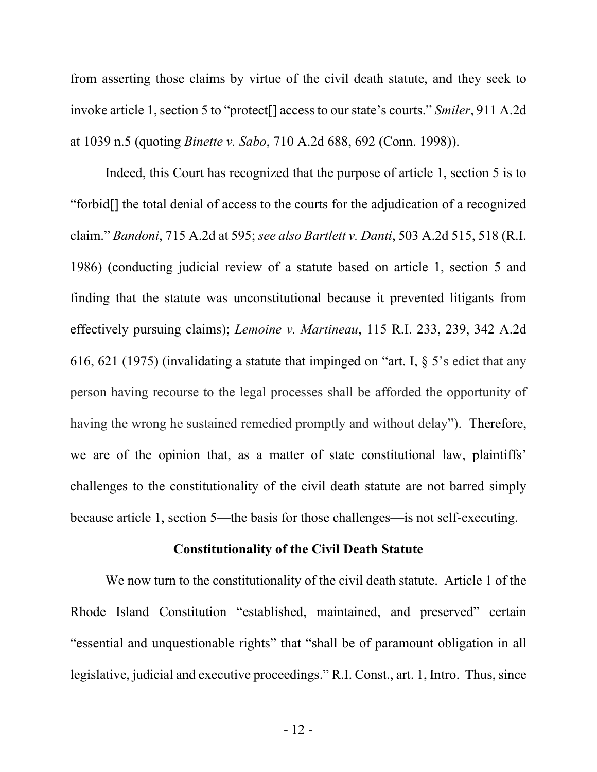from asserting those claims by virtue of the civil death statute, and they seek to invoke article 1, section 5 to "protect[] access to our state's courts." *Smiler*, 911 A.2d at 1039 n.5 (quoting *Binette v. Sabo*, 710 A.2d 688, 692 (Conn. 1998)).

Indeed, this Court has recognized that the purpose of article 1, section 5 is to "forbid[] the total denial of access to the courts for the adjudication of a recognized claim." *Bandoni*, 715 A.2d at 595; *see also Bartlett v. Danti*, 503 A.2d 515, 518 (R.I. 1986) (conducting judicial review of a statute based on article 1, section 5 and finding that the statute was unconstitutional because it prevented litigants from effectively pursuing claims); *Lemoine v. Martineau*, 115 R.I. 233, 239, 342 A.2d 616, 621 (1975) (invalidating a statute that impinged on "art. I, § 5's edict that any person having recourse to the legal processes shall be afforded the opportunity of having the wrong he sustained remedied promptly and without delay"). Therefore, we are of the opinion that, as a matter of state constitutional law, plaintiffs' challenges to the constitutionality of the civil death statute are not barred simply because article 1, section 5—the basis for those challenges—is not self-executing.

#### **Constitutionality of the Civil Death Statute**

We now turn to the constitutionality of the civil death statute. Article 1 of the Rhode Island Constitution "established, maintained, and preserved" certain "essential and unquestionable rights" that "shall be of paramount obligation in all legislative, judicial and executive proceedings." R.I. Const., art. 1, Intro. Thus, since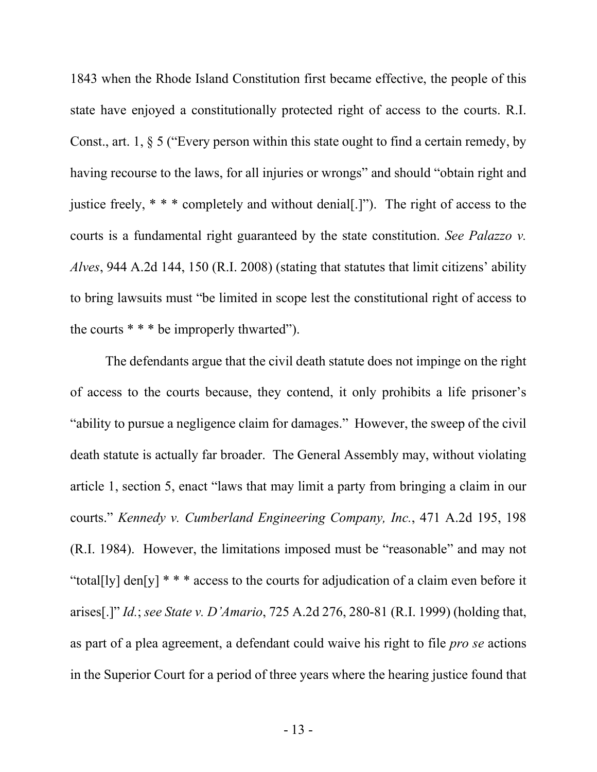1843 when the Rhode Island Constitution first became effective, the people of this state have enjoyed a constitutionally protected right of access to the courts. R.I. Const., art. 1, § 5 ("Every person within this state ought to find a certain remedy, by having recourse to the laws, for all injuries or wrongs" and should "obtain right and justice freely, \* \* \* completely and without denial[.]"). The right of access to the courts is a fundamental right guaranteed by the state constitution. *See Palazzo v. Alves*, 944 A.2d 144, 150 (R.I. 2008) (stating that statutes that limit citizens' ability to bring lawsuits must "be limited in scope lest the constitutional right of access to the courts  $* * *$  be improperly thwarted").

The defendants argue that the civil death statute does not impinge on the right of access to the courts because, they contend, it only prohibits a life prisoner's "ability to pursue a negligence claim for damages." However, the sweep of the civil death statute is actually far broader. The General Assembly may, without violating article 1, section 5, enact "laws that may limit a party from bringing a claim in our courts." *Kennedy v. Cumberland Engineering Company, Inc.*, 471 A.2d 195, 198 (R.I. 1984). However, the limitations imposed must be "reasonable" and may not "total[ly] den[y]  $**$  \* access to the courts for adjudication of a claim even before it arises[.]" *Id.*; *see State v. D'Amario*, 725 A.2d 276, 280-81 (R.I. 1999) (holding that, as part of a plea agreement, a defendant could waive his right to file *pro se* actions in the Superior Court for a period of three years where the hearing justice found that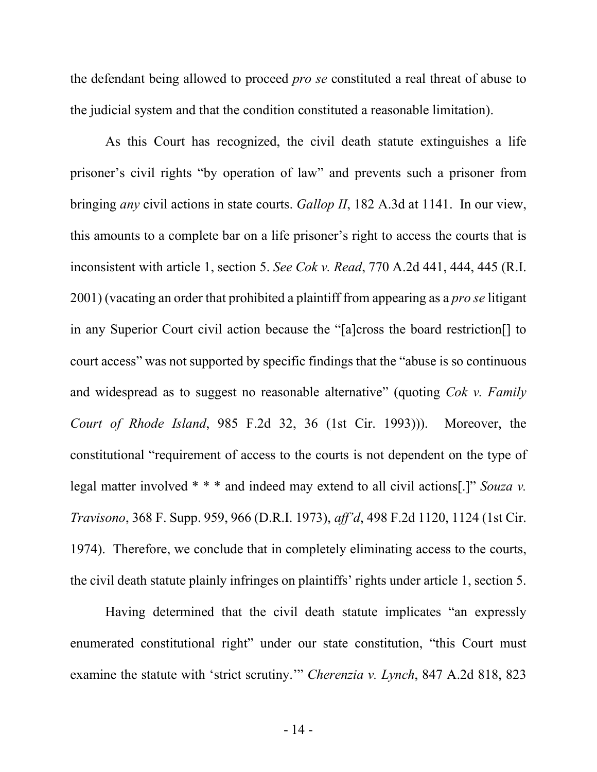the defendant being allowed to proceed *pro se* constituted a real threat of abuse to the judicial system and that the condition constituted a reasonable limitation).

As this Court has recognized, the civil death statute extinguishes a life prisoner's civil rights "by operation of law" and prevents such a prisoner from bringing *any* civil actions in state courts. *Gallop II*, 182 A.3d at 1141. In our view, this amounts to a complete bar on a life prisoner's right to access the courts that is inconsistent with article 1, section 5. *See Cok v. Read*, 770 A.2d 441, 444, 445 (R.I. 2001) (vacating an order that prohibited a plaintiff from appearing as a *pro se* litigant in any Superior Court civil action because the "[a]cross the board restriction[] to court access" was not supported by specific findings that the "abuse is so continuous and widespread as to suggest no reasonable alternative" (quoting *Cok v. Family Court of Rhode Island*, 985 F.2d 32, 36 (1st Cir. 1993))). Moreover, the constitutional "requirement of access to the courts is not dependent on the type of legal matter involved \* \* \* and indeed may extend to all civil actions[.]" *Souza v. Travisono*, 368 F. Supp. 959, 966 (D.R.I. 1973), *aff'd*, 498 F.2d 1120, 1124 (1st Cir. 1974).Therefore, we conclude that in completely eliminating access to the courts, the civil death statute plainly infringes on plaintiffs' rights under article 1, section 5.

Having determined that the civil death statute implicates "an expressly enumerated constitutional right" under our state constitution, "this Court must examine the statute with 'strict scrutiny.'" *Cherenzia v. Lynch*, 847 A.2d 818, 823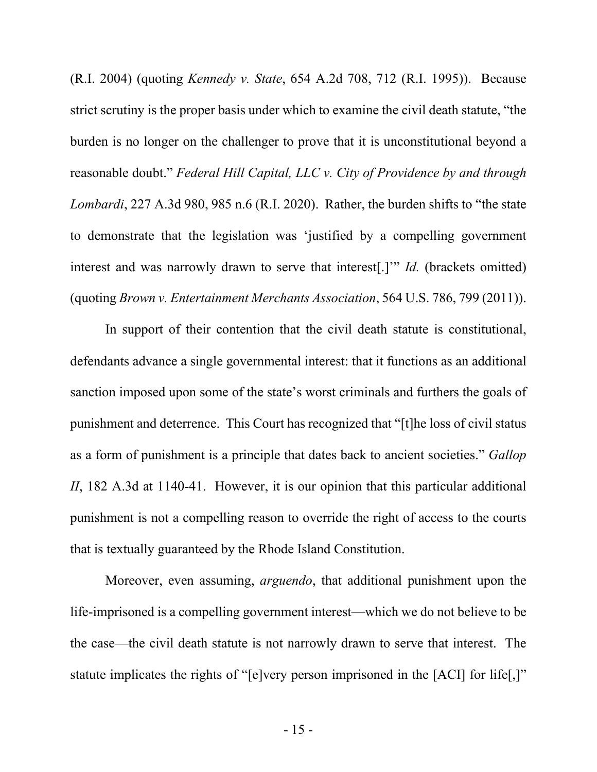(R.I. 2004) (quoting *Kennedy v. State*, 654 A.2d 708, 712 (R.I. 1995)). Because strict scrutiny is the proper basis under which to examine the civil death statute, "the burden is no longer on the challenger to prove that it is unconstitutional beyond a reasonable doubt." *Federal Hill Capital, LLC v. City of Providence by and through Lombardi*, 227 A.3d 980, 985 n.6 (R.I. 2020). Rather, the burden shifts to "the state to demonstrate that the legislation was 'justified by a compelling government interest and was narrowly drawn to serve that interest[.]'" *Id.* (brackets omitted) (quoting *Brown v. Entertainment Merchants Association*, 564 U.S. 786, 799 (2011)).

In support of their contention that the civil death statute is constitutional, defendants advance a single governmental interest: that it functions as an additional sanction imposed upon some of the state's worst criminals and furthers the goals of punishment and deterrence. This Court has recognized that "[t]he loss of civil status as a form of punishment is a principle that dates back to ancient societies." *Gallop II*, 182 A.3d at 1140-41. However, it is our opinion that this particular additional punishment is not a compelling reason to override the right of access to the courts that is textually guaranteed by the Rhode Island Constitution.

Moreover, even assuming, *arguendo*, that additional punishment upon the life-imprisoned is a compelling government interest—which we do not believe to be the case—the civil death statute is not narrowly drawn to serve that interest. The statute implicates the rights of "[e]very person imprisoned in the [ACI] for life[,]"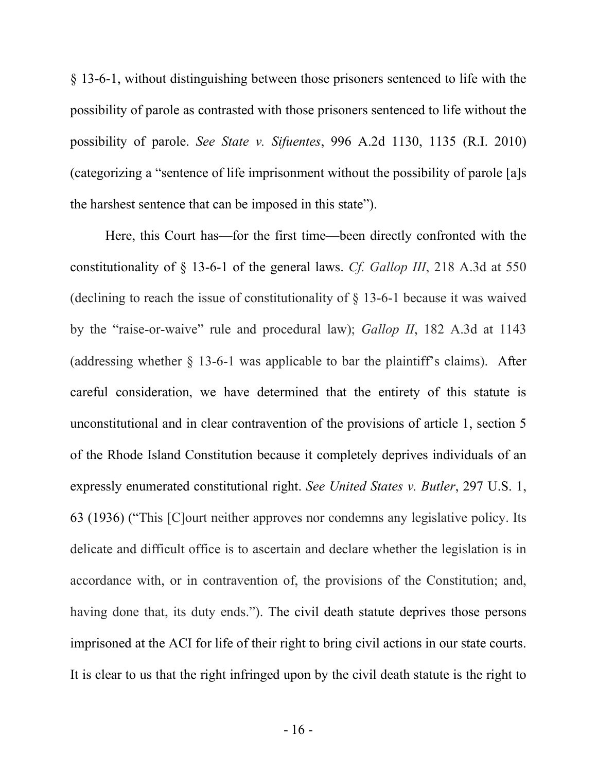§ 13-6-1, without distinguishing between those prisoners sentenced to life with the possibility of parole as contrasted with those prisoners sentenced to life without the possibility of parole. *See State v. Sifuentes*, 996 A.2d 1130, 1135 (R.I. 2010) (categorizing a "sentence of life imprisonment without the possibility of parole [a]s the harshest sentence that can be imposed in this state").

Here, this Court has—for the first time—been directly confronted with the constitutionality of § 13-6-1 of the general laws. *Cf. Gallop III*, 218 A.3d at 550 (declining to reach the issue of constitutionality of § 13-6-1 because it was waived by the "raise-or-waive" rule and procedural law); *Gallop II*, 182 A.3d at 1143 (addressing whether  $\S$  13-6-1 was applicable to bar the plaintiff's claims). After careful consideration, we have determined that the entirety of this statute is unconstitutional and in clear contravention of the provisions of article 1, section 5 of the Rhode Island Constitution because it completely deprives individuals of an expressly enumerated constitutional right. *See United States v. Butler*, 297 U.S. 1, 63 (1936) ("This [C]ourt neither approves nor condemns any legislative policy. Its delicate and difficult office is to ascertain and declare whether the legislation is in accordance with, or in contravention of, the provisions of the Constitution; and, having done that, its duty ends."). The civil death statute deprives those persons imprisoned at the ACI for life of their right to bring civil actions in our state courts. It is clear to us that the right infringed upon by the civil death statute is the right to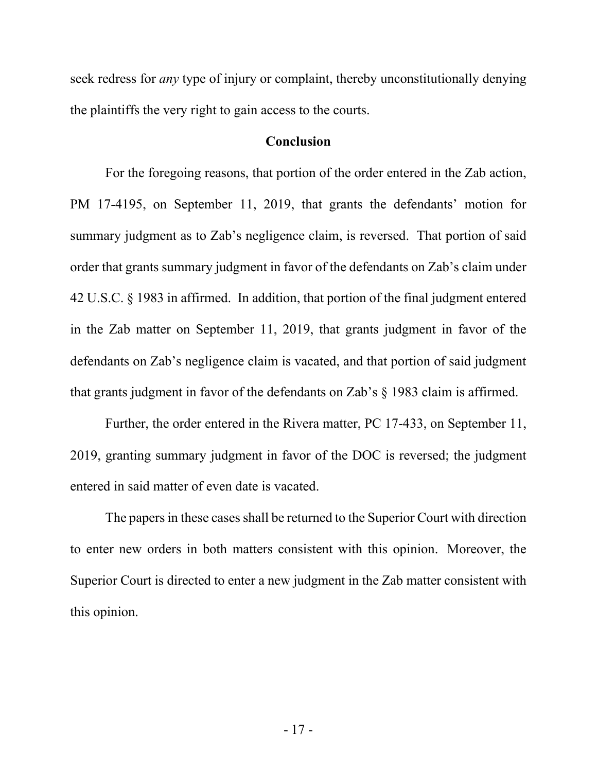seek redress for *any* type of injury or complaint, thereby unconstitutionally denying the plaintiffs the very right to gain access to the courts.

#### **Conclusion**

For the foregoing reasons, that portion of the order entered in the Zab action, PM 17-4195, on September 11, 2019, that grants the defendants' motion for summary judgment as to Zab's negligence claim, is reversed. That portion of said order that grants summary judgment in favor of the defendants on Zab's claim under 42 U.S.C. § 1983 in affirmed. In addition, that portion of the final judgment entered in the Zab matter on September 11, 2019, that grants judgment in favor of the defendants on Zab's negligence claim is vacated, and that portion of said judgment that grants judgment in favor of the defendants on Zab's § 1983 claim is affirmed.

Further, the order entered in the Rivera matter, PC 17-433, on September 11, 2019, granting summary judgment in favor of the DOC is reversed; the judgment entered in said matter of even date is vacated.

The papers in these cases shall be returned to the Superior Court with direction to enter new orders in both matters consistent with this opinion. Moreover, the Superior Court is directed to enter a new judgment in the Zab matter consistent with this opinion.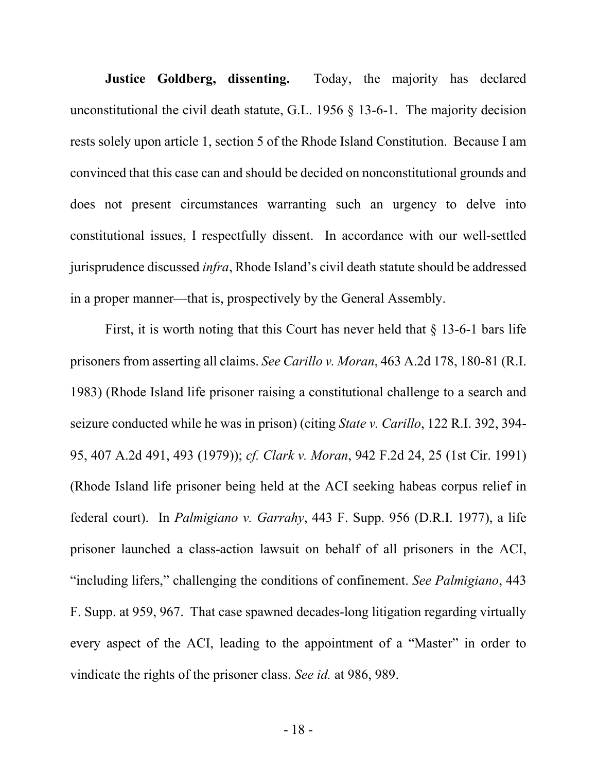**Justice Goldberg, dissenting.** Today, the majority has declared unconstitutional the civil death statute, G.L. 1956  $\S$  13-6-1. The majority decision rests solely upon article 1, section 5 of the Rhode Island Constitution. Because I am convinced that this case can and should be decided on nonconstitutional grounds and does not present circumstances warranting such an urgency to delve into constitutional issues, I respectfully dissent. In accordance with our well-settled jurisprudence discussed *infra*, Rhode Island's civil death statute should be addressed in a proper manner—that is, prospectively by the General Assembly.

First, it is worth noting that this Court has never held that § 13-6-1 bars life prisoners from asserting all claims. *See Carillo v. Moran*, 463 A.2d 178, 180-81 (R.I. 1983) (Rhode Island life prisoner raising a constitutional challenge to a search and seizure conducted while he was in prison) (citing *State v. Carillo*, 122 R.I. 392, 394- 95, 407 A.2d 491, 493 (1979)); *cf. Clark v. Moran*, 942 F.2d 24, 25 (1st Cir. 1991) (Rhode Island life prisoner being held at the ACI seeking habeas corpus relief in federal court). In *Palmigiano v. Garrahy*, 443 F. Supp. 956 (D.R.I. 1977), a life prisoner launched a class-action lawsuit on behalf of all prisoners in the ACI, "including lifers," challenging the conditions of confinement. *See Palmigiano*, 443 F. Supp. at 959, 967. That case spawned decades-long litigation regarding virtually every aspect of the ACI, leading to the appointment of a "Master" in order to vindicate the rights of the prisoner class. *See id.* at 986, 989.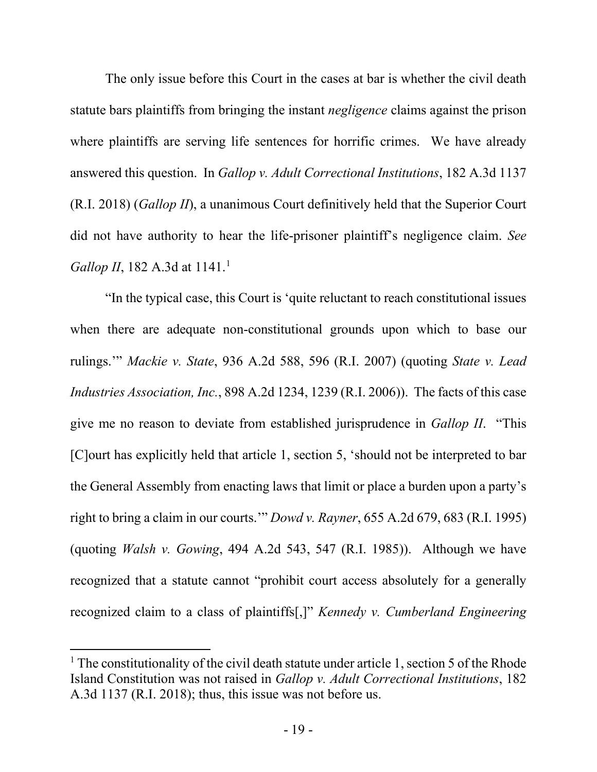The only issue before this Court in the cases at bar is whether the civil death statute bars plaintiffs from bringing the instant *negligence* claims against the prison where plaintiffs are serving life sentences for horrific crimes. We have already answered this question. In *Gallop v. Adult Correctional Institutions*, 182 A.3d 1137 (R.I. 2018) (*Gallop II*), a unanimous Court definitively held that the Superior Court did not have authority to hear the life-prisoner plaintiff's negligence claim. *See Gallop II*, [1](#page-19-0)82 A.3d at 1141.<sup>1</sup>

"In the typical case, this Court is 'quite reluctant to reach constitutional issues when there are adequate non-constitutional grounds upon which to base our rulings.'" *Mackie v. State*, 936 A.2d 588, 596 (R.I. 2007) (quoting *State v. Lead Industries Association, Inc.*, 898 A.2d 1234, 1239 (R.I. 2006)). The facts of this case give me no reason to deviate from established jurisprudence in *Gallop II*. "This [C]ourt has explicitly held that article 1, section 5, 'should not be interpreted to bar the General Assembly from enacting laws that limit or place a burden upon a party's right to bring a claim in our courts.'" *Dowd v. Rayner*, 655 A.2d 679, 683 (R.I. 1995) (quoting *Walsh v. Gowing*, 494 A.2d 543, 547 (R.I. 1985)). Although we have recognized that a statute cannot "prohibit court access absolutely for a generally recognized claim to a class of plaintiffs[,]" *Kennedy v. Cumberland Engineering* 

<span id="page-19-0"></span><sup>&</sup>lt;sup>1</sup> The constitutionality of the civil death statute under article 1, section 5 of the Rhode Island Constitution was not raised in *Gallop v. Adult Correctional Institutions*, 182 A.3d 1137 (R.I. 2018); thus, this issue was not before us.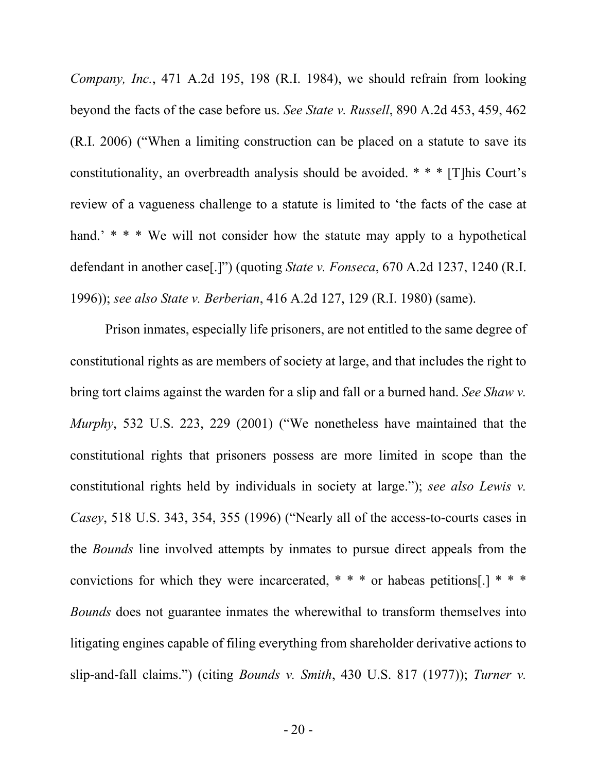*Company, Inc.*, 471 A.2d 195, 198 (R.I. 1984), we should refrain from looking beyond the facts of the case before us. *See State v. Russell*, 890 A.2d 453, 459, 462 (R.I. 2006) ("When a limiting construction can be placed on a statute to save its constitutionality, an overbreadth analysis should be avoided. \* \* \* [T]his Court's review of a vagueness challenge to a statute is limited to 'the facts of the case at hand.' \* \* \* We will not consider how the statute may apply to a hypothetical defendant in another case[.]") (quoting *State v. Fonseca*, 670 A.2d 1237, 1240 (R.I. 1996)); *see also State v. Berberian*, 416 A.2d 127, 129 (R.I. 1980) (same).

Prison inmates, especially life prisoners, are not entitled to the same degree of constitutional rights as are members of society at large, and that includes the right to bring tort claims against the warden for a slip and fall or a burned hand. *See Shaw v. Murphy*, 532 U.S. 223, 229 (2001) ("We nonetheless have maintained that the constitutional rights that prisoners possess are more limited in scope than the constitutional rights held by individuals in society at large."); *see also Lewis v. Casey*, 518 U.S. 343, 354, 355 (1996) ("Nearly all of the access-to-courts cases in the *Bounds* line involved attempts by inmates to pursue direct appeals from the convictions for which they were incarcerated,  $* * *$  or habeas petitions[.]  $* * *$ *Bounds* does not guarantee inmates the wherewithal to transform themselves into litigating engines capable of filing everything from shareholder derivative actions to slip-and-fall claims.") (citing *Bounds v. Smith*, 430 U.S. 817 (1977)); *Turner v.*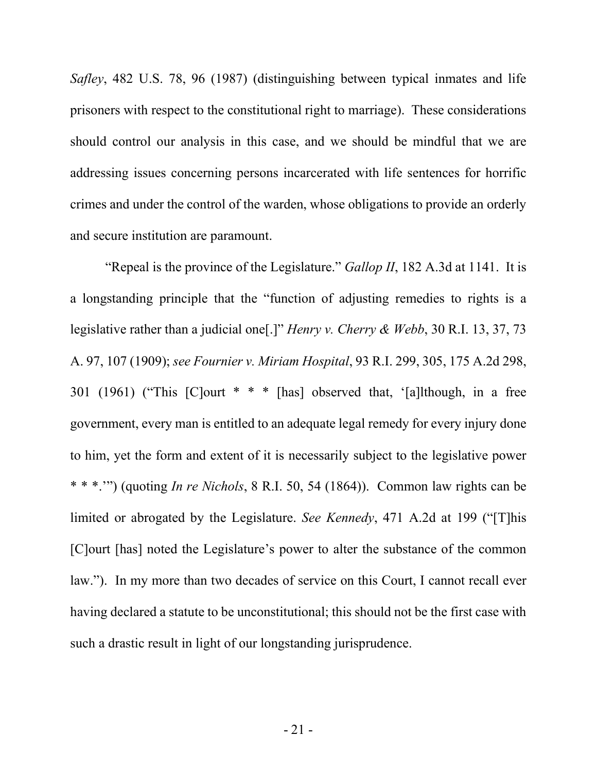*Safley*, 482 U.S. 78, 96 (1987) (distinguishing between typical inmates and life prisoners with respect to the constitutional right to marriage). These considerations should control our analysis in this case, and we should be mindful that we are addressing issues concerning persons incarcerated with life sentences for horrific crimes and under the control of the warden, whose obligations to provide an orderly and secure institution are paramount.

"Repeal is the province of the Legislature." *Gallop II*, 182 A.3d at 1141. It is a longstanding principle that the "function of adjusting remedies to rights is a legislative rather than a judicial one[.]" *Henry v. Cherry & Webb*, 30 R.I. 13, 37, 73 A. 97, 107 (1909); *see Fournier v. Miriam Hospital*, 93 R.I. 299, 305, 175 A.2d 298, 301 (1961) ("This [C]ourt \* \* \* [has] observed that, '[a]lthough, in a free government, every man is entitled to an adequate legal remedy for every injury done to him, yet the form and extent of it is necessarily subject to the legislative power \* \* \*.'") (quoting *In re Nichols*, 8 R.I. 50, 54 (1864)). Common law rights can be limited or abrogated by the Legislature. *See Kennedy*, 471 A.2d at 199 ("[T]his [C]ourt [has] noted the Legislature's power to alter the substance of the common law."). In my more than two decades of service on this Court, I cannot recall ever having declared a statute to be unconstitutional; this should not be the first case with such a drastic result in light of our longstanding jurisprudence.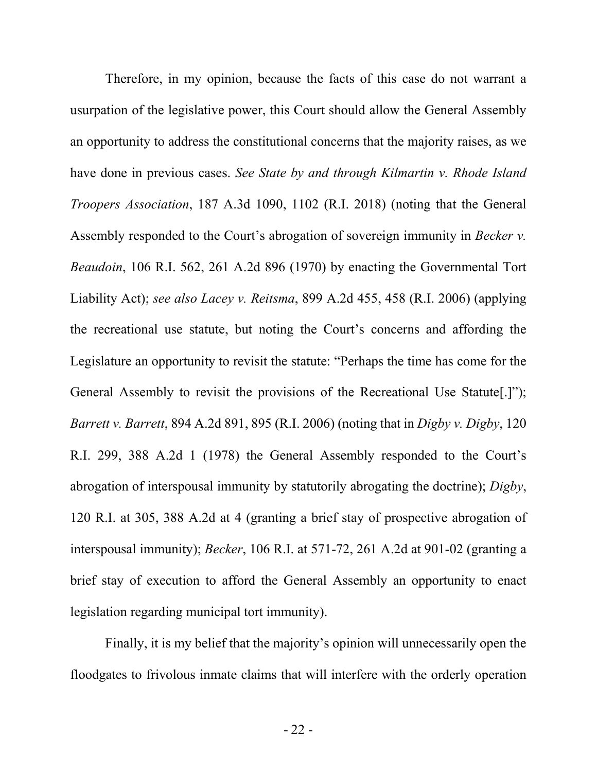Therefore, in my opinion, because the facts of this case do not warrant a usurpation of the legislative power, this Court should allow the General Assembly an opportunity to address the constitutional concerns that the majority raises, as we have done in previous cases. *See State by and through Kilmartin v. Rhode Island Troopers Association*, 187 A.3d 1090, 1102 (R.I. 2018) (noting that the General Assembly responded to the Court's abrogation of sovereign immunity in *Becker v. Beaudoin*, 106 R.I. 562, 261 A.2d 896 (1970) by enacting the Governmental Tort Liability Act); *see also Lacey v. Reitsma*, 899 A.2d 455, 458 (R.I. 2006) (applying the recreational use statute, but noting the Court's concerns and affording the Legislature an opportunity to revisit the statute: "Perhaps the time has come for the General Assembly to revisit the provisions of the Recreational Use Statute[.]"); *Barrett v. Barrett*, 894 A.2d 891, 895 (R.I. 2006) (noting that in *Digby v. Digby*, 120 R.I. 299, 388 A.2d 1 (1978) the General Assembly responded to the Court's abrogation of interspousal immunity by statutorily abrogating the doctrine); *Digby*, 120 R.I. at 305, 388 A.2d at 4 (granting a brief stay of prospective abrogation of interspousal immunity); *Becker*, 106 R.I. at 571-72, 261 A.2d at 901-02 (granting a brief stay of execution to afford the General Assembly an opportunity to enact legislation regarding municipal tort immunity).

Finally, it is my belief that the majority's opinion will unnecessarily open the floodgates to frivolous inmate claims that will interfere with the orderly operation